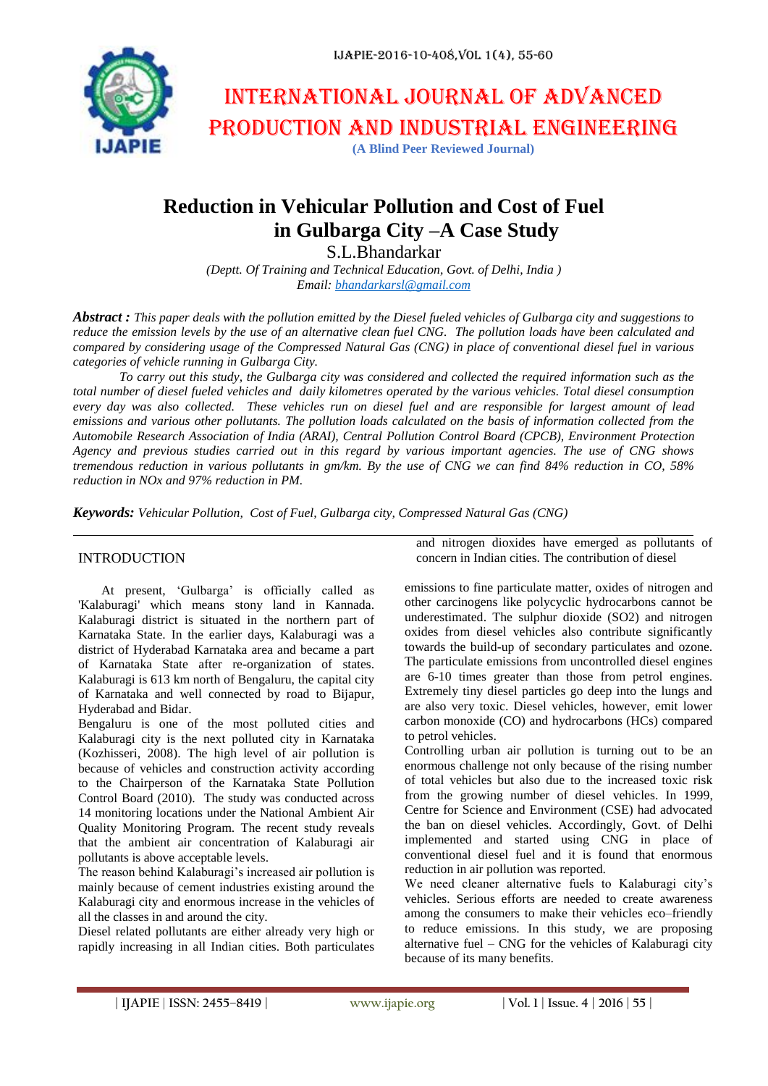

# International journal of advanced production and industrial engineering

**(A Blind Peer Reviewed Journal)**

# **Reduction in Vehicular Pollution and Cost of Fuel in Gulbarga City –A Case Study**

S.L.Bhandarkar

*(Deptt. Of Training and Technical Education, Govt. of Delhi, India ) Email: [bhandarkarsl@gmail.com](mailto:bhandarkarsl@gmail.com)*

*Abstract : This paper deals with the pollution emitted by the Diesel fueled vehicles of Gulbarga city and suggestions to reduce the emission levels by the use of an alternative clean fuel CNG. The pollution loads have been calculated and compared by considering usage of the Compressed Natural Gas (CNG) in place of conventional diesel fuel in various categories of vehicle running in Gulbarga City.* 

*To carry out this study, the Gulbarga city was considered and collected the required information such as the total number of diesel fueled vehicles and daily kilometres operated by the various vehicles. Total diesel consumption every day was also collected. These vehicles run on diesel fuel and are responsible for largest amount of lead emissions and various other pollutants. The pollution loads calculated on the basis of information collected from the Automobile Research Association of India (ARAI), Central Pollution Control Board (CPCB), Environment Protection Agency and previous studies carried out in this regard by various important agencies. The use of CNG shows tremendous reduction in various pollutants in gm/km. By the use of CNG we can find 84% reduction in CO, 58% reduction in NOx and 97% reduction in PM.*

*Keywords: Vehicular Pollution, Cost of Fuel, Gulbarga city, Compressed Natural Gas (CNG)*

# INTRODUCTION

At present, 'Gulbarga' is officially called as 'Kalaburagi' which means stony land in Kannada. Kalaburagi district is situated in the northern part of Karnataka State. In the earlier days, Kalaburagi was a district of Hyderabad Karnataka area and became a part of Karnataka State after re-organization of states. Kalaburagi is 613 km north of Bengaluru, the capital city of Karnataka and well connected by road to Bijapur, Hyderabad and Bidar.

Bengaluru is one of the most polluted cities and Kalaburagi city is the next polluted city in Karnataka (Kozhisseri, 2008). The high level of air pollution is because of vehicles and construction activity according to the Chairperson of the Karnataka State Pollution Control Board (2010). The study was conducted across 14 monitoring locations under the National Ambient Air Quality Monitoring Program. The recent study reveals that the ambient air concentration of Kalaburagi air pollutants is above acceptable levels.

The reason behind Kalaburagi's increased air pollution is mainly because of cement industries existing around the Kalaburagi city and enormous increase in the vehicles of all the classes in and around the city.

Diesel related pollutants are either already very high or rapidly increasing in all Indian cities. Both particulates and nitrogen dioxides have emerged as pollutants of concern in Indian cities. The contribution of diesel

emissions to fine particulate matter, oxides of nitrogen and other carcinogens like polycyclic hydrocarbons cannot be underestimated. The sulphur dioxide (SO2) and nitrogen oxides from diesel vehicles also contribute significantly towards the build-up of secondary particulates and ozone. The particulate emissions from uncontrolled diesel engines are 6-10 times greater than those from petrol engines. Extremely tiny diesel particles go deep into the lungs and are also very toxic. Diesel vehicles, however, emit lower carbon monoxide (CO) and hydrocarbons (HCs) compared to petrol vehicles.

Controlling urban air pollution is turning out to be an enormous challenge not only because of the rising number of total vehicles but also due to the increased toxic risk from the growing number of diesel vehicles. In 1999, Centre for Science and Environment (CSE) had advocated the ban on diesel vehicles. Accordingly, Govt. of Delhi implemented and started using CNG in place of conventional diesel fuel and it is found that enormous reduction in air pollution was reported.

We need cleaner alternative fuels to Kalaburagi city's vehicles. Serious efforts are needed to create awareness among the consumers to make their vehicles eco–friendly to reduce emissions. In this study, we are proposing alternative fuel – CNG for the vehicles of Kalaburagi city because of its many benefits.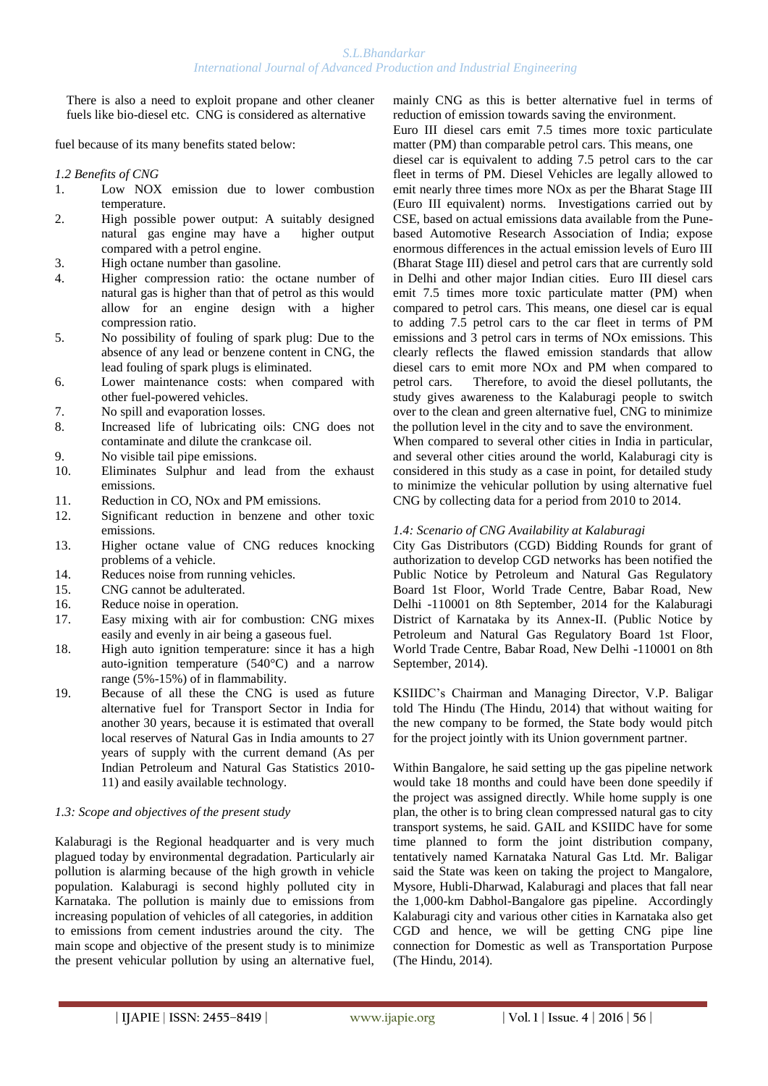There is also a need to exploit propane and other cleaner fuels like bio-diesel etc. CNG is considered as alternative

fuel because of its many benefits stated below:

#### *1.2 Benefits of CNG*

- 1. Low NOX emission due to lower combustion temperature.
- 2. High possible power output: A suitably designed natural gas engine may have a higher output compared with a petrol engine.
- 3. High octane number than gasoline.
- 4. Higher compression ratio: the octane number of natural gas is higher than that of petrol as this would allow for an engine design with a higher compression ratio.
- 5. No possibility of fouling of spark plug: Due to the absence of any lead or benzene content in CNG, the lead fouling of spark plugs is eliminated.
- 6. Lower maintenance costs: when compared with other fuel-powered vehicles.
- 7. No spill and evaporation losses.
- 8. Increased life of lubricating oils: CNG does not contaminate and dilute the crankcase oil.
- 9. No visible tail pipe emissions.
- 10. Eliminates Sulphur and lead from the exhaust emissions.
- 11. Reduction in CO, NOx and PM emissions.
- 12. Significant reduction in benzene and other toxic emissions.
- 13. Higher octane value of CNG reduces knocking problems of a vehicle.
- 14. Reduces noise from running vehicles.
- 15. CNG cannot be adulterated.
- 16. Reduce noise in operation.
- 17. Easy mixing with air for combustion: CNG mixes easily and evenly in air being a gaseous fuel.
- 18. High auto ignition temperature: since it has a high auto-ignition temperature (540°C) and a narrow range (5%-15%) of in flammability.
- 19. Because of all these the CNG is used as future alternative fuel for Transport Sector in India for another 30 years, because it is estimated that overall local reserves of Natural Gas in India amounts to 27 years of supply with the current demand (As per Indian Petroleum and Natural Gas Statistics 2010- 11) and easily available technology.

#### *1.3: Scope and objectives of the present study*

Kalaburagi is the Regional headquarter and is very much plagued today by environmental degradation. Particularly air pollution is alarming because of the high growth in vehicle population. Kalaburagi is second highly polluted city in Karnataka. The pollution is mainly due to emissions from increasing population of vehicles of all categories, in addition to emissions from cement industries around the city. The main scope and objective of the present study is to minimize the present vehicular pollution by using an alternative fuel,

mainly CNG as this is better alternative fuel in terms of reduction of emission towards saving the environment.

Euro III diesel cars emit 7.5 times more toxic particulate matter (PM) than comparable petrol cars. This means, one

diesel car is equivalent to adding 7.5 petrol cars to the car fleet in terms of PM. Diesel Vehicles are legally allowed to emit nearly three times more NOx as per the Bharat Stage III (Euro III equivalent) norms. Investigations carried out by CSE, based on actual emissions data available from the Punebased Automotive Research Association of India; expose enormous differences in the actual emission levels of Euro III (Bharat Stage III) diesel and petrol cars that are currently sold in Delhi and other major Indian cities. Euro III diesel cars emit 7.5 times more toxic particulate matter (PM) when compared to petrol cars. This means, one diesel car is equal to adding 7.5 petrol cars to the car fleet in terms of PM emissions and 3 petrol cars in terms of NOx emissions. This clearly reflects the flawed emission standards that allow diesel cars to emit more NOx and PM when compared to petrol cars. Therefore, to avoid the diesel pollutants, the study gives awareness to the Kalaburagi people to switch over to the clean and green alternative fuel, CNG to minimize the pollution level in the city and to save the environment.

When compared to several other cities in India in particular, and several other cities around the world, Kalaburagi city is considered in this study as a case in point, for detailed study to minimize the vehicular pollution by using alternative fuel CNG by collecting data for a period from 2010 to 2014.

#### *1.4: Scenario of CNG Availability at Kalaburagi*

City Gas Distributors (CGD) Bidding Rounds for grant of authorization to develop CGD networks has been notified the Public Notice by Petroleum and Natural Gas Regulatory Board 1st Floor, World Trade Centre, Babar Road, New Delhi -110001 on 8th September, 2014 for the Kalaburagi District of Karnataka by its Annex-II. (Public Notice by Petroleum and Natural Gas Regulatory Board 1st Floor, World Trade Centre, Babar Road, New Delhi -110001 on 8th September, 2014).

KSIIDC"s Chairman and Managing Director, V.P. Baligar told The Hindu (The Hindu, 2014) that without waiting for the new company to be formed, the State body would pitch for the project jointly with its Union government partner.

Within Bangalore, he said setting up the gas pipeline network would take 18 months and could have been done speedily if the project was assigned directly. While home supply is one plan, the other is to bring clean compressed natural gas to city transport systems, he said. GAIL and KSIIDC have for some time planned to form the joint distribution company, tentatively named Karnataka Natural Gas Ltd. Mr. Baligar said the State was keen on taking the project to Mangalore, Mysore, Hubli-Dharwad, Kalaburagi and places that fall near the 1,000-km Dabhol-Bangalore gas pipeline. Accordingly Kalaburagi city and various other cities in Karnataka also get CGD and hence, we will be getting CNG pipe line connection for Domestic as well as Transportation Purpose (The Hindu, 2014).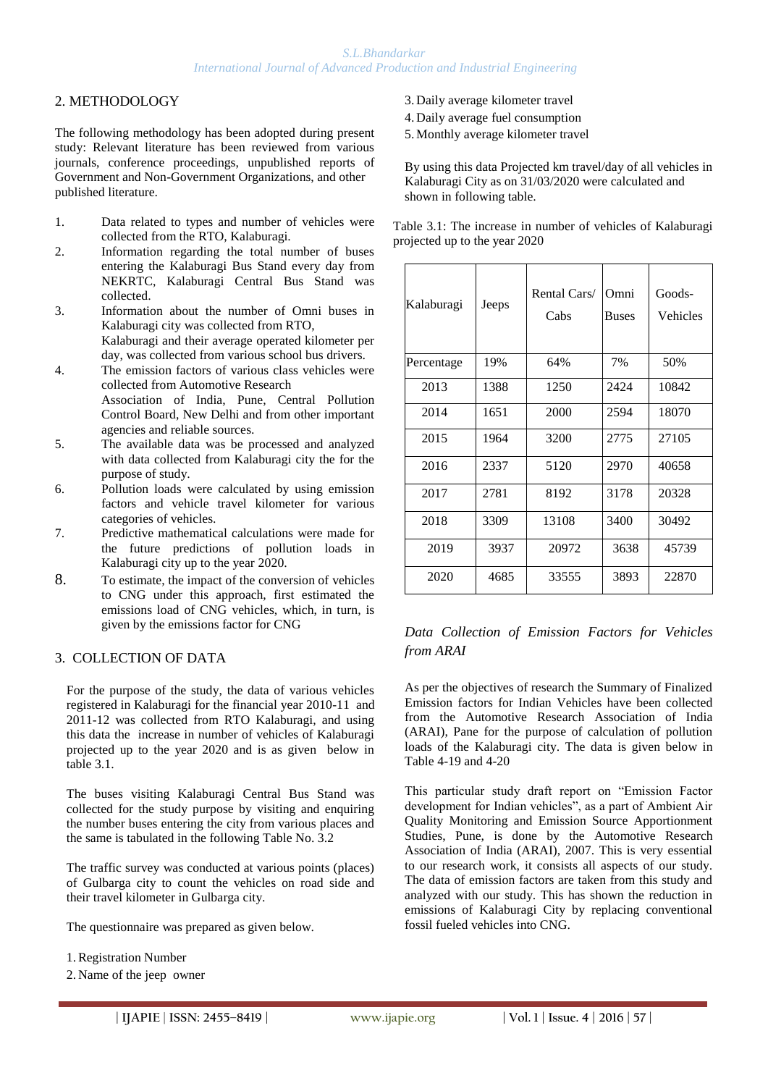# 2. METHODOLOGY

The following methodology has been adopted during present study: Relevant literature has been reviewed from various journals, conference proceedings, unpublished reports of Government and Non-Government Organizations, and other published literature.

- 1. Data related to types and number of vehicles were collected from the RTO, Kalaburagi.
- 2. Information regarding the total number of buses entering the Kalaburagi Bus Stand every day from NEKRTC, Kalaburagi Central Bus Stand was collected.
- 3. Information about the number of Omni buses in Kalaburagi city was collected from RTO, Kalaburagi and their average operated kilometer per day, was collected from various school bus drivers.
- 4. The emission factors of various class vehicles were collected from Automotive Research Association of India, Pune, Central Pollution Control Board, New Delhi and from other important agencies and reliable sources.
- 5. The available data was be processed and analyzed with data collected from Kalaburagi city the for the purpose of study.
- 6. Pollution loads were calculated by using emission factors and vehicle travel kilometer for various categories of vehicles.
- 7. Predictive mathematical calculations were made for the future predictions of pollution loads in Kalaburagi city up to the year 2020.
- 8. To estimate, the impact of the conversion of vehicles to CNG under this approach, first estimated the emissions load of CNG vehicles, which, in turn, is given by the emissions factor for CNG

#### 3. COLLECTION OF DATA

For the purpose of the study, the data of various vehicles registered in Kalaburagi for the financial year 2010-11 and 2011-12 was collected from RTO Kalaburagi, and using this data the increase in number of vehicles of Kalaburagi projected up to the year 2020 and is as given below in table 3.1.

The buses visiting Kalaburagi Central Bus Stand was collected for the study purpose by visiting and enquiring the number buses entering the city from various places and the same is tabulated in the following Table No. 3.2

The traffic survey was conducted at various points (places) of Gulbarga city to count the vehicles on road side and their travel kilometer in Gulbarga city.

The questionnaire was prepared as given below.

- 1.Registration Number
- 2. Name of the jeep owner
- 3. Daily average kilometer travel
- 4. Daily average fuel consumption
- 5.Monthly average kilometer travel

By using this data Projected km travel/day of all vehicles in Kalaburagi City as on 31/03/2020 were calculated and shown in following table.

| Kalaburagi | Jeeps | Rental Cars/<br>Cabs | Omni<br><b>Buses</b> | Goods-<br><b>Vehicles</b> |
|------------|-------|----------------------|----------------------|---------------------------|
| Percentage | 19%   | 64%                  | 7%                   | 50%                       |
| 2013       | 1388  | 1250                 | 2424                 | 10842                     |
| 2014       | 1651  | 2000                 | 2594                 | 18070                     |
| 2015       | 1964  | 3200                 | 2775                 | 27105                     |
| 2016       | 2337  | 5120                 | 2970                 | 40658                     |
| 2017       | 2781  | 8192                 | 3178                 | 20328                     |
| 2018       | 3309  | 13108                | 3400                 | 30492                     |
| 2019       | 3937  | 20972                | 3638                 | 45739                     |
| 2020       | 4685  | 33555                | 3893                 | 22870                     |

#### Table 3.1: The increase in number of vehicles of Kalaburagi projected up to the year 2020

# *Data Collection of Emission Factors for Vehicles from ARAI*

As per the objectives of research the Summary of Finalized Emission factors for Indian Vehicles have been collected from the Automotive Research Association of India (ARAI), Pane for the purpose of calculation of pollution loads of the Kalaburagi city. The data is given below in Table 4-19 and 4-20

This particular study draft report on "Emission Factor development for Indian vehicles", as a part of Ambient Air Quality Monitoring and Emission Source Apportionment Studies, Pune, is done by the Automotive Research Association of India (ARAI), 2007. This is very essential to our research work, it consists all aspects of our study. The data of emission factors are taken from this study and analyzed with our study. This has shown the reduction in emissions of Kalaburagi City by replacing conventional fossil fueled vehicles into CNG.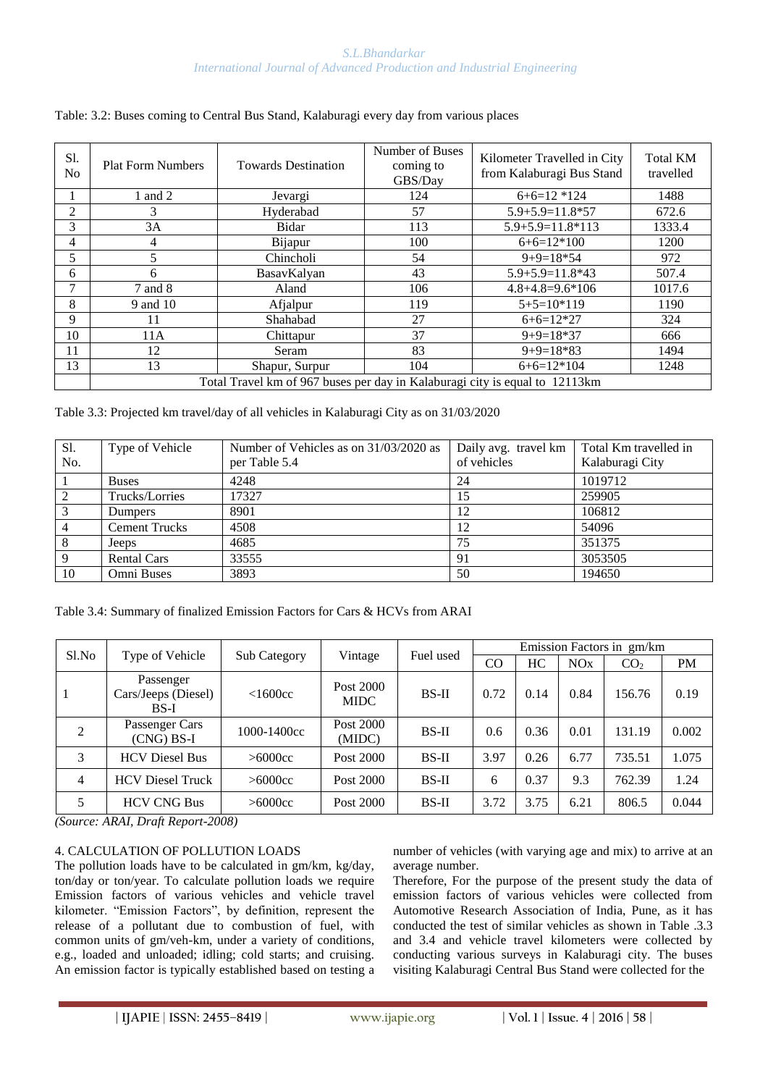| Sl.<br>No.     | <b>Plat Form Numbers</b>                                                     | <b>Towards Destination</b> | Number of Buses<br>coming to<br>GBS/Day | Kilometer Travelled in City<br>from Kalaburagi Bus Stand | <b>Total KM</b><br>travelled |  |  |  |  |
|----------------|------------------------------------------------------------------------------|----------------------------|-----------------------------------------|----------------------------------------------------------|------------------------------|--|--|--|--|
|                | 1 and 2                                                                      | Jevargi                    | 124                                     | $6+6=12*124$                                             | 1488                         |  |  |  |  |
| $\overline{c}$ | 3                                                                            | Hyderabad                  | 57                                      | $5.9 + 5.9 = 11.8 * 57$                                  | 672.6                        |  |  |  |  |
| 3              | 3A                                                                           | Bidar                      | 113                                     | $5.9 + 5.9 = 11.8 * 113$                                 | 1333.4                       |  |  |  |  |
| 4              | 4                                                                            | Bijapur                    | 100                                     | $6+6=12*100$                                             | 1200                         |  |  |  |  |
| 5              |                                                                              | Chincholi                  | 54                                      | $9+9=18*54$                                              | 972                          |  |  |  |  |
| 6              | 6                                                                            | BasavKalyan                | 43                                      | $5.9 + 5.9 = 11.8*43$                                    | 507.4                        |  |  |  |  |
| 7              | 7 and 8                                                                      | Aland                      | 106                                     | $4.8 + 4.8 = 9.6 * 106$                                  | 1017.6                       |  |  |  |  |
| 8              | 9 and 10                                                                     | Afjalpur                   | 119                                     | $5+5=10*119$                                             | 1190                         |  |  |  |  |
| 9              | 11                                                                           | Shahabad                   | 27                                      | $6+6=12*27$                                              | 324                          |  |  |  |  |
| 10             | 11A                                                                          | Chittapur                  | 37                                      | $9+9=18*37$                                              | 666                          |  |  |  |  |
| 11             | 12                                                                           | Seram                      | 83                                      | $9+9=18*83$                                              | 1494                         |  |  |  |  |
| 13             | 13                                                                           | Shapur, Surpur             | 104                                     | $6+6=12*104$                                             | 1248                         |  |  |  |  |
|                | Total Travel km of 967 buses per day in Kalaburagi city is equal to 12113 km |                            |                                         |                                                          |                              |  |  |  |  |

#### Table: 3.2: Buses coming to Central Bus Stand, Kalaburagi every day from various places

Table 3.3: Projected km travel/day of all vehicles in Kalaburagi City as on 31/03/2020

| Sl.<br>No. | Type of Vehicle      | Number of Vehicles as on 31/03/2020 as<br>per Table 5.4 | of vehicles | Daily avg. travel km   Total Km travelled in<br>Kalaburagi City |
|------------|----------------------|---------------------------------------------------------|-------------|-----------------------------------------------------------------|
|            |                      | 4248                                                    |             | 1019712                                                         |
|            | <b>Buses</b>         |                                                         | 24          |                                                                 |
|            | Trucks/Lorries       | 17327                                                   | 15          | 259905                                                          |
|            | <b>Dumpers</b>       | 8901                                                    | 12          | 106812                                                          |
|            | <b>Cement Trucks</b> | 4508                                                    | 12          | 54096                                                           |
|            | Jeeps                | 4685                                                    | 75          | 351375                                                          |
|            | <b>Rental Cars</b>   | 33555                                                   | 91          | 3053505                                                         |
| 10         | Omni Buses           | 3893                                                    | 50          | 194650                                                          |

Table 3.4: Summary of finalized Emission Factors for Cars & HCVs from ARAI

|                |                                            |                     |                          | Emission Factors in gm/km<br>Fuel used |      |      |                       |                 |           |
|----------------|--------------------------------------------|---------------------|--------------------------|----------------------------------------|------|------|-----------------------|-----------------|-----------|
| Sl.No          | Type of Vehicle                            | <b>Sub Category</b> | Vintage                  |                                        | CO   | HC   | <b>NO<sub>x</sub></b> | CO <sub>2</sub> | <b>PM</b> |
|                | Passenger<br>Cars/Jeeps (Diesel)<br>$BS-I$ | <1600cc             | Post 2000<br><b>MIDC</b> | $BS-II$                                | 0.72 | 0.14 | 0.84                  | 156.76          | 0.19      |
| 2              | Passenger Cars<br>$(CNG)$ BS-I             | 1000-1400cc         | Post 2000<br>(MIDC)      | $BS-II$                                | 0.6  | 0.36 | 0.01                  | 131.19          | 0.002     |
| 3              | <b>HCV</b> Diesel Bus                      | >6000cc             | Post 2000                | $BS-II$                                | 3.97 | 0.26 | 6.77                  | 735.51          | 1.075     |
| $\overline{4}$ | <b>HCV</b> Diesel Truck                    | >6000cc             | Post 2000                | $BS-II$                                | 6    | 0.37 | 9.3                   | 762.39          | 1.24      |
| 5              | <b>HCV CNG Bus</b>                         | >6000cc             | Post 2000                | $BS-II$                                | 3.72 | 3.75 | 6.21                  | 806.5           | 0.044     |

*(Source: ARAI, Draft Report-2008)*

### 4. CALCULATION OF POLLUTION LOADS

The pollution loads have to be calculated in gm/km, kg/day, ton/day or ton/year. To calculate pollution loads we require Emission factors of various vehicles and vehicle travel kilometer. "Emission Factors", by definition, represent the release of a pollutant due to combustion of fuel, with common units of gm/veh-km, under a variety of conditions, e.g., loaded and unloaded; idling; cold starts; and cruising. An emission factor is typically established based on testing a number of vehicles (with varying age and mix) to arrive at an average number.

Therefore, For the purpose of the present study the data of emission factors of various vehicles were collected from Automotive Research Association of India, Pune, as it has conducted the test of similar vehicles as shown in Table .3.3 and 3.4 and vehicle travel kilometers were collected by conducting various surveys in Kalaburagi city. The buses visiting Kalaburagi Central Bus Stand were collected for the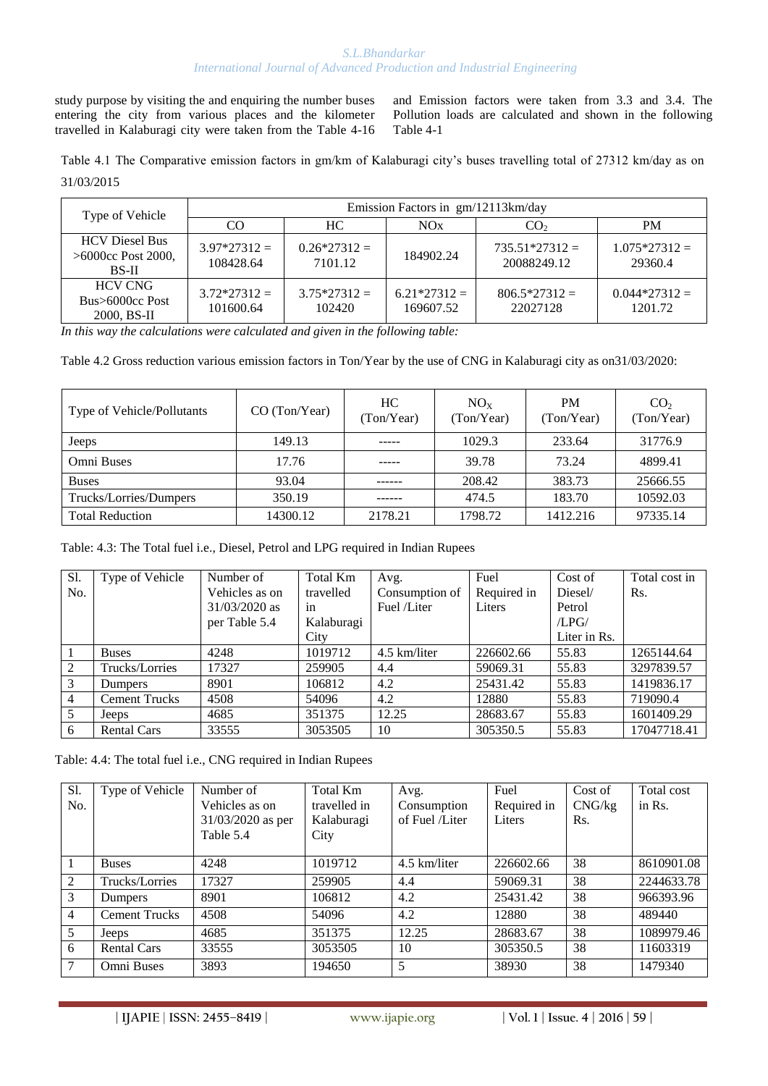#### *S.L.Bhandarkar International Journal of Advanced Production and Industrial Engineering*

study purpose by visiting the and enquiring the number buses entering the city from various places and the kilometer travelled in Kalaburagi city were taken from the Table 4-16

and Emission factors were taken from 3.3 and 3.4. The Pollution loads are calculated and shown in the following Table 4-1

Table 4.1 The Comparative emission factors in gm/km of Kalaburagi city's buses travelling total of 27312 km/day as on 31/03/2015

| Type of Vehicle                                                | Emission Factors in gm/12113km/day |                          |                            |                                 |                           |  |  |
|----------------------------------------------------------------|------------------------------------|--------------------------|----------------------------|---------------------------------|---------------------------|--|--|
|                                                                | CO.                                | HC.                      | NOx                        | CO <sub>2</sub>                 | <b>PM</b>                 |  |  |
| <b>HCV</b> Diesel Bus<br>$>6000$ cc Post 2000,<br><b>BS-II</b> | $3.97*27312=$<br>108428.64         | $0.26*27312=$<br>7101.12 | 184902.24                  | $735.51*27312 =$<br>20088249.12 | $1.075*27312=$<br>29360.4 |  |  |
| <b>HCV CNG</b><br>Bus>6000cc Post<br>2000, BS-II               | $3.72*27312=$<br>101600.64         | $3.75*27312 =$<br>102420 | $6.21*27312=$<br>169607.52 | $806.5*27312=$<br>22027128      | $0.044*27312=$<br>1201.72 |  |  |

*In this way the calculations were calculated and given in the following table:*

Table 4.2 Gross reduction various emission factors in Ton/Year by the use of CNG in Kalaburagi city as on31/03/2020:

| Type of Vehicle/Pollutants | CO (Ton/Year) | HC.<br>(Ton/Year) | $NO_{X}$<br>(Ton/Year) | <b>PM</b><br>(Ton/Year) | CO <sub>2</sub><br>(Ton/Year) |
|----------------------------|---------------|-------------------|------------------------|-------------------------|-------------------------------|
| Jeeps                      | 149.13        | -----             | 1029.3                 | 233.64                  | 31776.9                       |
| Omni Buses                 | 17.76         | -----             | 39.78                  | 73.24                   | 4899.41                       |
| <b>Buses</b>               | 93.04         | ------            | 208.42                 | 383.73                  | 25666.55                      |
| Trucks/Lorries/Dumpers     | 350.19        |                   | 474.5                  | 183.70                  | 10592.03                      |
| <b>Total Reduction</b>     | 14300.12      | 2178.21           | 1798.72                | 1412.216                | 97335.14                      |

Table: 4.3: The Total fuel i.e., Diesel, Petrol and LPG required in Indian Rupees

| Sl.            | Type of Vehicle      | Number of       | Total Km   | Avg.           | Fuel        | Cost of      | Total cost in |
|----------------|----------------------|-----------------|------------|----------------|-------------|--------------|---------------|
| No.            |                      | Vehicles as on  | travelled  | Consumption of | Required in | Diesel/      | Rs.           |
|                |                      | $31/03/2020$ as | 1n         | Fuel /Liter    | Liters      | Petrol       |               |
|                |                      | per Table 5.4   | Kalaburagi |                |             | /LPG/        |               |
|                |                      |                 | City       |                |             | Liter in Rs. |               |
|                | <b>Buses</b>         | 4248            | 1019712    | 4.5 km/liter   | 226602.66   | 55.83        | 1265144.64    |
| 2              | Trucks/Lorries       | 17327           | 259905     | 4.4            | 59069.31    | 55.83        | 3297839.57    |
| 3              | <b>Dumpers</b>       | 8901            | 106812     | 4.2            | 25431.42    | 55.83        | 1419836.17    |
| $\overline{4}$ | <b>Cement Trucks</b> | 4508            | 54096      | 4.2            | 12880       | 55.83        | 719090.4      |
| 5              | Jeeps                | 4685            | 351375     | 12.25          | 28683.67    | 55.83        | 1601409.29    |
| 6              | <b>Rental Cars</b>   | 33555           | 3053505    | 10             | 305350.5    | 55.83        | 17047718.41   |

Table: 4.4: The total fuel i.e., CNG required in Indian Rupees

| S1.            | Type of Vehicle      | Number of           | Total Km     | Avg.           | Fuel        | Cost of | Total cost |
|----------------|----------------------|---------------------|--------------|----------------|-------------|---------|------------|
| No.            |                      | Vehicles as on      | travelled in | Consumption    | Required in | CNG/kg  | in Rs.     |
|                |                      | $31/03/2020$ as per | Kalaburagi   | of Fuel /Liter | Liters      | Rs.     |            |
|                |                      | Table 5.4           | City         |                |             |         |            |
|                |                      |                     |              |                |             |         |            |
|                | <b>Buses</b>         | 4248                | 1019712      | 4.5 km/liter   | 226602.66   | 38      | 8610901.08 |
| $\mathcal{L}$  | Trucks/Lorries       | 17327               | 259905       | 4.4            | 59069.31    | 38      | 2244633.78 |
| 3              | <b>Dumpers</b>       | 8901                | 106812       | 4.2            | 25431.42    | 38      | 966393.96  |
| $\overline{4}$ | <b>Cement Trucks</b> | 4508                | 54096        | 4.2            | 12880       | 38      | 489440     |
| 5              | Jeeps                | 4685                | 351375       | 12.25          | 28683.67    | 38      | 1089979.46 |
| 6              | <b>Rental Cars</b>   | 33555               | 3053505      | 10             | 305350.5    | 38      | 11603319   |
| 7              | Omni Buses           | 3893                | 194650       | 5              | 38930       | 38      | 1479340    |